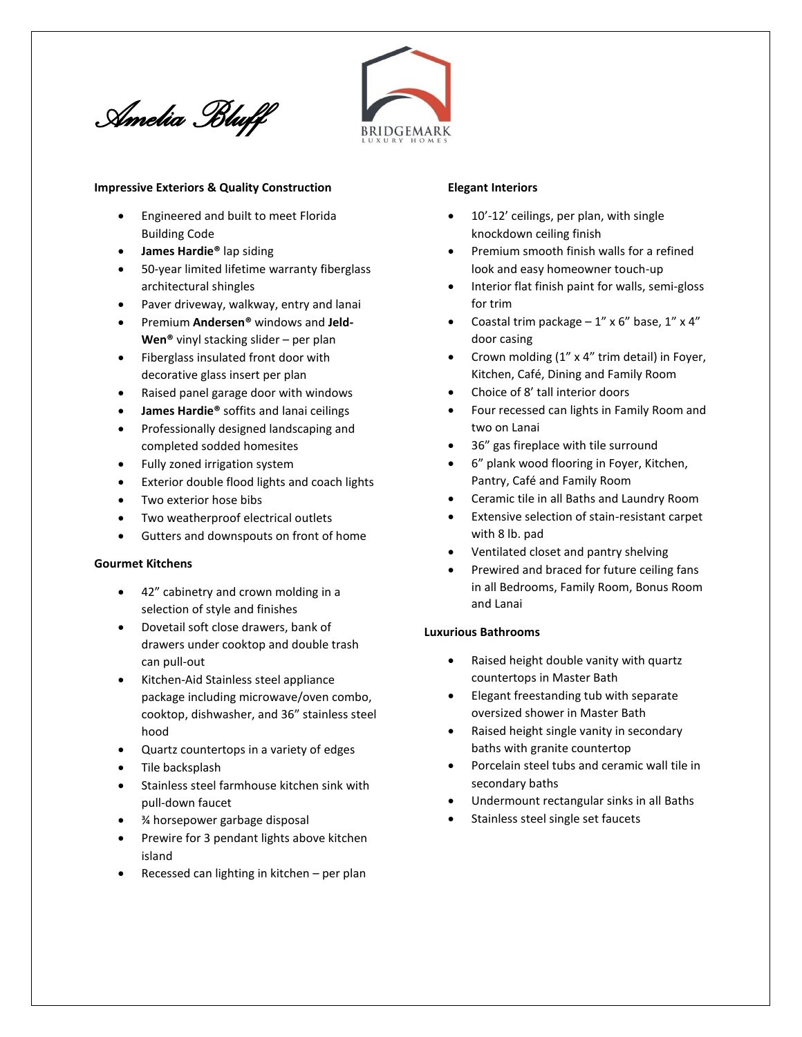*Amelia Bluff*



### **Impressive Exteriors & Quality Construction**

- Engineered and built to meet Florida Building Code
- **James Hardie®** lap siding
- 50-year limited lifetime warranty fiberglass architectural shingles
- Paver driveway, walkway, entry and lanai
- Premium **Andersen®** windows and **Jeld-Wen®** vinyl stacking slider – per plan
- Fiberglass insulated front door with decorative glass insert per plan
- Raised panel garage door with windows
- **James Hardie®** soffits and lanai ceilings
- Professionally designed landscaping and completed sodded homesites
- Fully zoned irrigation system
- Exterior double flood lights and coach lights
- Two exterior hose bibs
- Two weatherproof electrical outlets
- Gutters and downspouts on front of home

### **Gourmet Kitchens**

- 42" cabinetry and crown molding in a selection of style and finishes
- Dovetail soft close drawers, bank of drawers under cooktop and double trash can pull-out
- Kitchen-Aid Stainless steel appliance package including microwave/oven combo, cooktop, dishwasher, and 36" stainless steel hood
- Quartz countertops in a variety of edges
- Tile backsplash
- Stainless steel farmhouse kitchen sink with pull-down faucet
- ¾ horsepower garbage disposal
- Prewire for 3 pendant lights above kitchen island
- Recessed can lighting in kitchen per plan

### **Elegant Interiors**

- 10'-12' ceilings, per plan, with single knockdown ceiling finish
- Premium smooth finish walls for a refined look and easy homeowner touch-up
- Interior flat finish paint for walls, semi-gloss for trim
- Coastal trim package  $-1$ " x 6" base, 1" x 4" door casing
- Crown molding (1" x 4" trim detail) in Foyer, Kitchen, Café, Dining and Family Room
- Choice of 8' tall interior doors
- Four recessed can lights in Family Room and two on Lanai
- 36" gas fireplace with tile surround
- 6" plank wood flooring in Foyer, Kitchen, Pantry, Café and Family Room
- Ceramic tile in all Baths and Laundry Room
- Extensive selection of stain-resistant carpet with 8 lb. pad
- Ventilated closet and pantry shelving
- Prewired and braced for future ceiling fans in all Bedrooms, Family Room, Bonus Room and Lanai

### **Luxurious Bathrooms**

- Raised height double vanity with quartz countertops in Master Bath
- Elegant freestanding tub with separate oversized shower in Master Bath
- Raised height single vanity in secondary baths with granite countertop
- Porcelain steel tubs and ceramic wall tile in secondary baths
- Undermount rectangular sinks in all Baths
- Stainless steel single set faucets